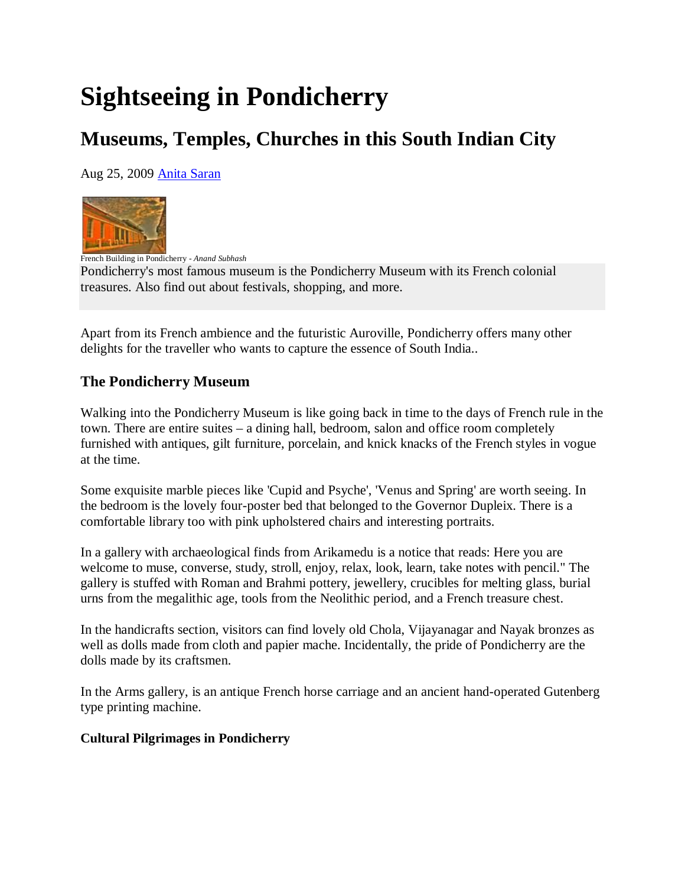# **Sightseeing in Pondicherry**

# **Museums, Temples, Churches in this South Indian City**

Aug 25, 2009 Anita Saran



French Building in Pondicherry - *Anand Subhash* Pondicherry's most famous museum is the Pondicherry Museum with its French colonial treasures. Also find out about festivals, shopping, and more.

Apart from its French ambience and the futuristic Auroville, Pondicherry offers many other delights for the traveller who wants to capture the essence of South India..

## **The Pondicherry Museum**

Walking into the Pondicherry Museum is like going back in time to the days of French rule in the town. There are entire suites – a dining hall, bedroom, salon and office room completely furnished with antiques, gilt furniture, porcelain, and knick knacks of the French styles in vogue at the time.

Some exquisite marble pieces like 'Cupid and Psyche', 'Venus and Spring' are worth seeing. In the bedroom is the lovely four-poster bed that belonged to the Governor Dupleix. There is a comfortable library too with pink upholstered chairs and interesting portraits.

In a gallery with archaeological finds from Arikamedu is a notice that reads: Here you are welcome to muse, converse, study, stroll, enjoy, relax, look, learn, take notes with pencil." The gallery is stuffed with Roman and Brahmi pottery, jewellery, crucibles for melting glass, burial urns from the megalithic age, tools from the Neolithic period, and a French treasure chest.

In the handicrafts section, visitors can find lovely old Chola, Vijayanagar and Nayak bronzes as well as dolls made from cloth and papier mache. Incidentally, the pride of Pondicherry are the dolls made by its craftsmen.

In the Arms gallery, is an antique French horse carriage and an ancient hand-operated Gutenberg type printing machine.

#### **Cultural Pilgrimages in Pondicherry**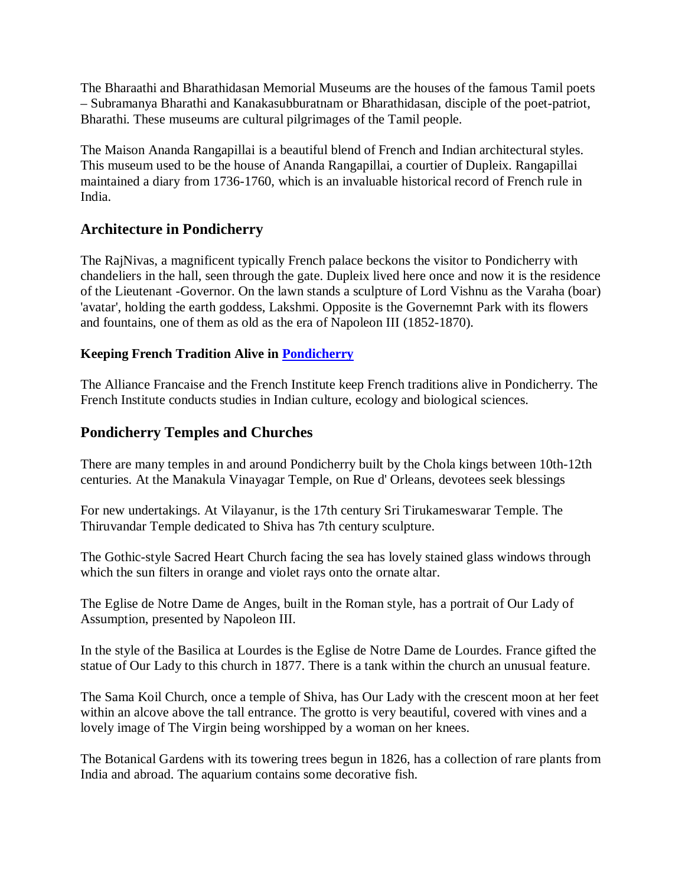The Bharaathi and Bharathidasan Memorial Museums are the houses of the famous Tamil poets – Subramanya Bharathi and Kanakasubburatnam or Bharathidasan, disciple of the poet-patriot, Bharathi. These museums are cultural pilgrimages of the Tamil people.

The Maison Ananda Rangapillai is a beautiful blend of French and Indian architectural styles. This museum used to be the house of Ananda Rangapillai, a courtier of Dupleix. Rangapillai maintained a diary from 1736-1760, which is an invaluable historical record of French rule in India.

### **Architecture in Pondicherry**

The RajNivas, a magnificent typically French palace beckons the visitor to Pondicherry with chandeliers in the hall, seen through the gate. Dupleix lived here once and now it is the residence of the Lieutenant -Governor. On the lawn stands a sculpture of Lord Vishnu as the Varaha (boar) 'avatar', holding the earth goddess, Lakshmi. Opposite is the Governemnt Park with its flowers and fountains, one of them as old as the era of Napoleon III (1852-1870).

#### **Keeping French Tradition Alive in Pondicherry**

The Alliance Francaise and the French Institute keep French traditions alive in Pondicherry. The French Institute conducts studies in Indian culture, ecology and biological sciences.

### **Pondicherry Temples and Churches**

There are many temples in and around Pondicherry built by the Chola kings between 10th-12th centuries. At the Manakula Vinayagar Temple, on Rue d' Orleans, devotees seek blessings

For new undertakings. At Vilayanur, is the 17th century Sri Tirukameswarar Temple. The Thiruvandar Temple dedicated to Shiva has 7th century sculpture.

The Gothic-style Sacred Heart Church facing the sea has lovely stained glass windows through which the sun filters in orange and violet rays onto the ornate altar.

The Eglise de Notre Dame de Anges, built in the Roman style, has a portrait of Our Lady of Assumption, presented by Napoleon III.

In the style of the Basilica at Lourdes is the Eglise de Notre Dame de Lourdes. France gifted the statue of Our Lady to this church in 1877. There is a tank within the church an unusual feature.

The Sama Koil Church, once a temple of Shiva, has Our Lady with the crescent moon at her feet within an alcove above the tall entrance. The grotto is very beautiful, covered with vines and a lovely image of The Virgin being worshipped by a woman on her knees.

The Botanical Gardens with its towering trees begun in 1826, has a collection of rare plants from India and abroad. The aquarium contains some decorative fish.